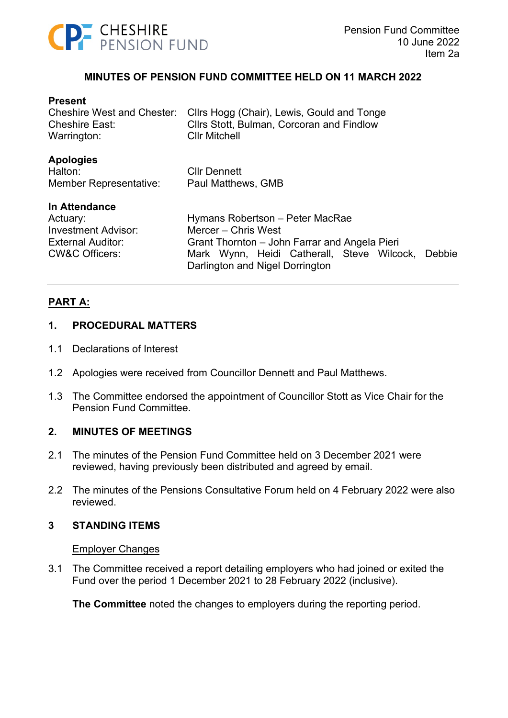

## **MINUTES OF PENSION FUND COMMITTEE HELD ON 11 MARCH 2022**

#### **Present**

| Cheshire West and Chester:<br><b>Cheshire East:</b><br>Warrington:                                               | Cllrs Hogg (Chair), Lewis, Gould and Tonge<br>Cllrs Stott, Bulman, Corcoran and Findlow<br><b>Cllr Mitchell</b>                                                                                    |
|------------------------------------------------------------------------------------------------------------------|----------------------------------------------------------------------------------------------------------------------------------------------------------------------------------------------------|
| <b>Apologies</b><br>Halton:<br>Member Representative:                                                            | <b>Cllr Dennett</b><br>Paul Matthews, GMB                                                                                                                                                          |
| In Attendance<br>Actuary:<br><b>Investment Advisor:</b><br><b>External Auditor:</b><br><b>CW&amp;C Officers:</b> | Hymans Robertson - Peter MacRae<br>Mercer – Chris West<br>Grant Thornton – John Farrar and Angela Pieri<br>Mark Wynn, Heidi Catherall, Steve Wilcock,<br>Debbie<br>Darlington and Nigel Dorrington |

# **PART A:**

#### **1. PROCEDURAL MATTERS**

- 1.1 Declarations of Interest
- 1.2 Apologies were received from Councillor Dennett and Paul Matthews.
- 1.3 The Committee endorsed the appointment of Councillor Stott as Vice Chair for the Pension Fund Committee.

#### **2. MINUTES OF MEETINGS**

- 2.1 The minutes of the Pension Fund Committee held on 3 December 2021 were reviewed, having previously been distributed and agreed by email.
- 2.2 The minutes of the Pensions Consultative Forum held on 4 February 2022 were also reviewed.

#### **3 STANDING ITEMS**

#### Employer Changes

3.1 The Committee received a report detailing employers who had joined or exited the Fund over the period 1 December 2021 to 28 February 2022 (inclusive).

**The Committee** noted the changes to employers during the reporting period.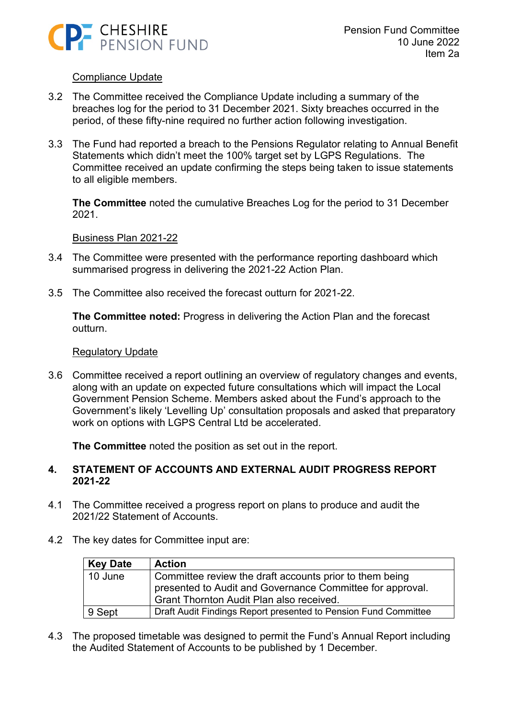

### Compliance Update

- 3.2 The Committee received the Compliance Update including a summary of the breaches log for the period to 31 December 2021. Sixty breaches occurred in the period, of these fifty-nine required no further action following investigation.
- 3.3 The Fund had reported a breach to the Pensions Regulator relating to Annual Benefit Statements which didn't meet the 100% target set by LGPS Regulations. The Committee received an update confirming the steps being taken to issue statements to all eligible members.

**The Committee** noted the cumulative Breaches Log for the period to 31 December 2021.

#### Business Plan 2021-22

- 3.4 The Committee were presented with the performance reporting dashboard which summarised progress in delivering the 2021-22 Action Plan.
- 3.5 The Committee also received the forecast outturn for 2021-22.

**The Committee noted:** Progress in delivering the Action Plan and the forecast outturn.

#### Regulatory Update

3.6 Committee received a report outlining an overview of regulatory changes and events, along with an update on expected future consultations which will impact the Local Government Pension Scheme. Members asked about the Fund's approach to the Government's likely 'Levelling Up' consultation proposals and asked that preparatory work on options with LGPS Central Ltd be accelerated.

**The Committee** noted the position as set out in the report.

### **4. STATEMENT OF ACCOUNTS AND EXTERNAL AUDIT PROGRESS REPORT 2021-22**

- 4.1 The Committee received a progress report on plans to produce and audit the 2021/22 Statement of Accounts.
- 4.2 The key dates for Committee input are:

| Key Date        | <b>Action</b>                                                                                                                                                    |
|-----------------|------------------------------------------------------------------------------------------------------------------------------------------------------------------|
| $\vert$ 10 June | Committee review the draft accounts prior to them being<br>presented to Audit and Governance Committee for approval.<br>Grant Thornton Audit Plan also received. |
| 9 Sept          | Draft Audit Findings Report presented to Pension Fund Committee                                                                                                  |

4.3 The proposed timetable was designed to permit the Fund's Annual Report including the Audited Statement of Accounts to be published by 1 December.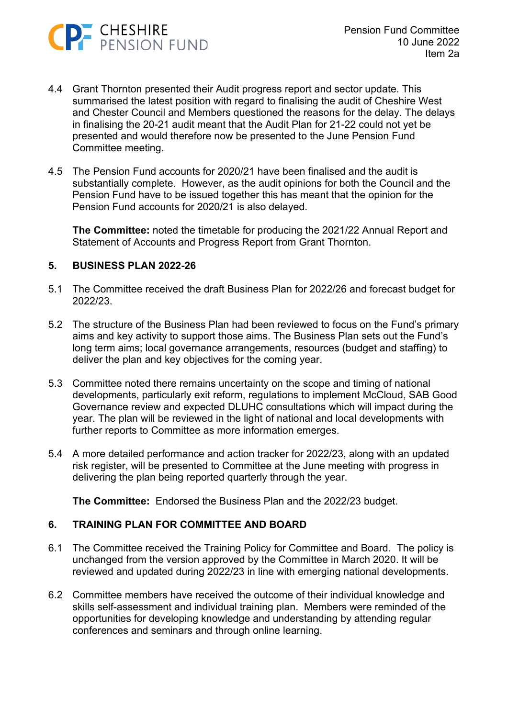

- 4.4 Grant Thornton presented their Audit progress report and sector update. This summarised the latest position with regard to finalising the audit of Cheshire West and Chester Council and Members questioned the reasons for the delay. The delays in finalising the 20-21 audit meant that the Audit Plan for 21-22 could not yet be presented and would therefore now be presented to the June Pension Fund Committee meeting.
- 4.5 The Pension Fund accounts for 2020/21 have been finalised and the audit is substantially complete. However, as the audit opinions for both the Council and the Pension Fund have to be issued together this has meant that the opinion for the Pension Fund accounts for 2020/21 is also delayed.

**The Committee:** noted the timetable for producing the 2021/22 Annual Report and Statement of Accounts and Progress Report from Grant Thornton.

## **5. BUSINESS PLAN 2022-26**

- 5.1 The Committee received the draft Business Plan for 2022/26 and forecast budget for 2022/23.
- 5.2 The structure of the Business Plan had been reviewed to focus on the Fund's primary aims and key activity to support those aims. The Business Plan sets out the Fund's long term aims; local governance arrangements, resources (budget and staffing) to deliver the plan and key objectives for the coming year.
- 5.3 Committee noted there remains uncertainty on the scope and timing of national developments, particularly exit reform, regulations to implement McCloud, SAB Good Governance review and expected DLUHC consultations which will impact during the year. The plan will be reviewed in the light of national and local developments with further reports to Committee as more information emerges.
- 5.4 A more detailed performance and action tracker for 2022/23, along with an updated risk register, will be presented to Committee at the June meeting with progress in delivering the plan being reported quarterly through the year.

**The Committee:** Endorsed the Business Plan and the 2022/23 budget.

# **6. TRAINING PLAN FOR COMMITTEE AND BOARD**

- 6.1 The Committee received the Training Policy for Committee and Board. The policy is unchanged from the version approved by the Committee in March 2020. It will be reviewed and updated during 2022/23 in line with emerging national developments.
- 6.2 Committee members have received the outcome of their individual knowledge and skills self-assessment and individual training plan. Members were reminded of the opportunities for developing knowledge and understanding by attending regular conferences and seminars and through online learning.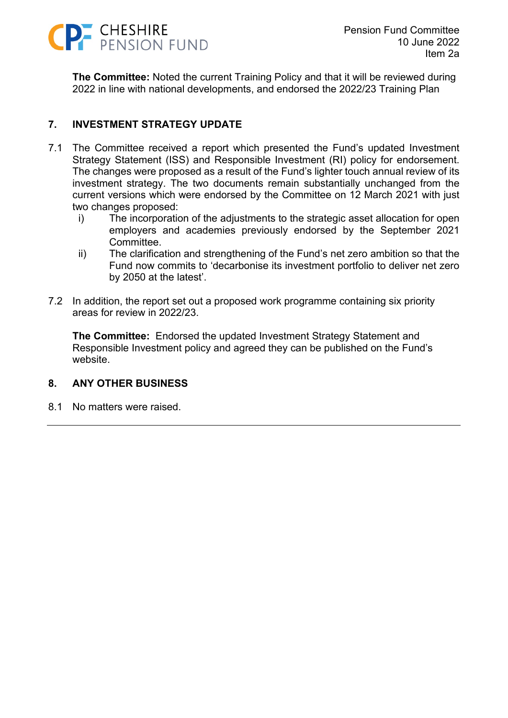

**The Committee:** Noted the current Training Policy and that it will be reviewed during 2022 in line with national developments, and endorsed the 2022/23 Training Plan

# **7. INVESTMENT STRATEGY UPDATE**

- 7.1 The Committee received a report which presented the Fund's updated Investment Strategy Statement (ISS) and Responsible Investment (RI) policy for endorsement. The changes were proposed as a result of the Fund's lighter touch annual review of its investment strategy. The two documents remain substantially unchanged from the current versions which were endorsed by the Committee on 12 March 2021 with just two changes proposed:
	- i) The incorporation of the adjustments to the strategic asset allocation for open employers and academies previously endorsed by the September 2021 Committee.
	- ii) The clarification and strengthening of the Fund's net zero ambition so that the Fund now commits to 'decarbonise its investment portfolio to deliver net zero by 2050 at the latest'.
- 7.2 In addition, the report set out a proposed work programme containing six priority areas for review in 2022/23.

**The Committee:** Endorsed the updated Investment Strategy Statement and Responsible Investment policy and agreed they can be published on the Fund's website.

# **8. ANY OTHER BUSINESS**

8.1 No matters were raised.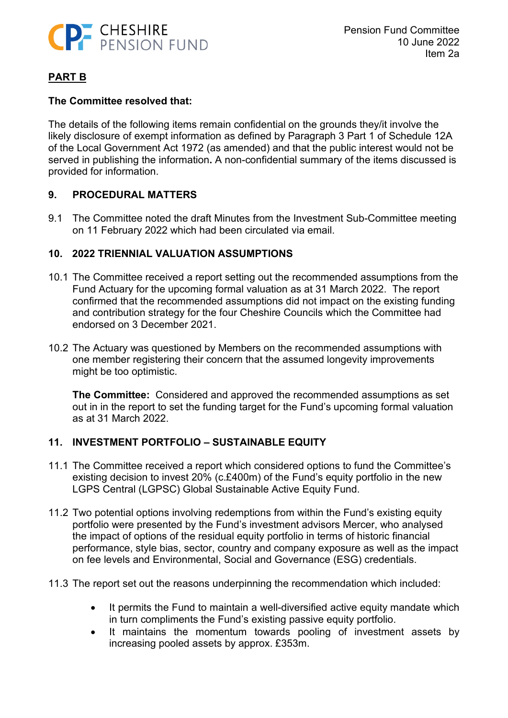

# **PART B**

## **The Committee resolved that:**

The details of the following items remain confidential on the grounds they/it involve the likely disclosure of exempt information as defined by Paragraph 3 Part 1 of Schedule 12A of the Local Government Act 1972 (as amended) and that the public interest would not be served in publishing the information**.** A non-confidential summary of the items discussed is provided for information.

## **9. PROCEDURAL MATTERS**

9.1 The Committee noted the draft Minutes from the Investment Sub-Committee meeting on 11 February 2022 which had been circulated via email.

## **10. 2022 TRIENNIAL VALUATION ASSUMPTIONS**

- 10.1 The Committee received a report setting out the recommended assumptions from the Fund Actuary for the upcoming formal valuation as at 31 March 2022. The report confirmed that the recommended assumptions did not impact on the existing funding and contribution strategy for the four Cheshire Councils which the Committee had endorsed on 3 December 2021.
- 10.2 The Actuary was questioned by Members on the recommended assumptions with one member registering their concern that the assumed longevity improvements might be too optimistic.

**The Committee:** Considered and approved the recommended assumptions as set out in in the report to set the funding target for the Fund's upcoming formal valuation as at 31 March 2022.

# **11. INVESTMENT PORTFOLIO – SUSTAINABLE EQUITY**

- 11.1 The Committee received a report which considered options to fund the Committee's existing decision to invest 20% (c.£400m) of the Fund's equity portfolio in the new LGPS Central (LGPSC) Global Sustainable Active Equity Fund.
- 11.2 Two potential options involving redemptions from within the Fund's existing equity portfolio were presented by the Fund's investment advisors Mercer, who analysed the impact of options of the residual equity portfolio in terms of historic financial performance, style bias, sector, country and company exposure as well as the impact on fee levels and Environmental, Social and Governance (ESG) credentials.
- 11.3 The report set out the reasons underpinning the recommendation which included:
	- It permits the Fund to maintain a well-diversified active equity mandate which in turn compliments the Fund's existing passive equity portfolio.
	- It maintains the momentum towards pooling of investment assets by increasing pooled assets by approx. £353m.